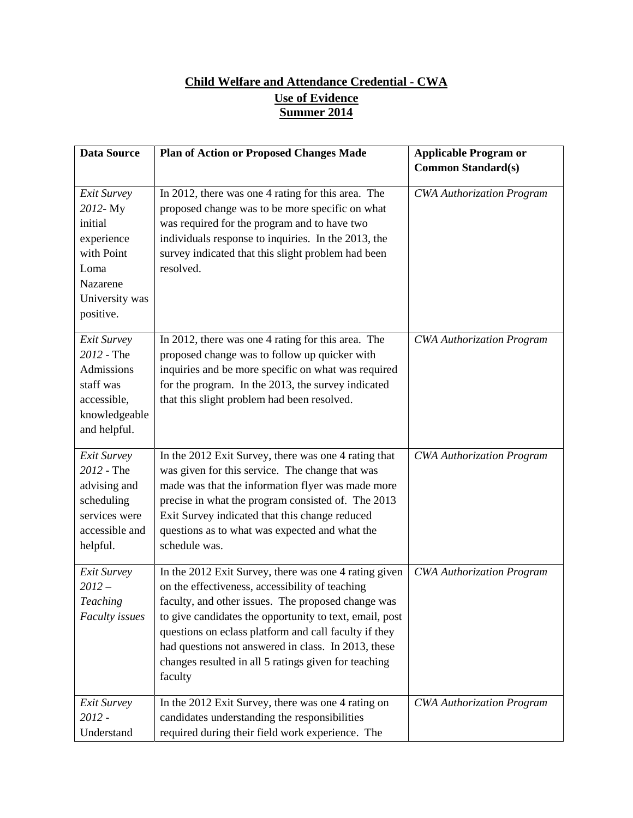## **Child Welfare and Attendance Credential - CWA Use of Evidence Summer 2014**

| <b>Data Source</b>                                                                                               | <b>Plan of Action or Proposed Changes Made</b>                                                                                                                                                                                                                                                                                                                                                               | <b>Applicable Program or</b>     |
|------------------------------------------------------------------------------------------------------------------|--------------------------------------------------------------------------------------------------------------------------------------------------------------------------------------------------------------------------------------------------------------------------------------------------------------------------------------------------------------------------------------------------------------|----------------------------------|
|                                                                                                                  |                                                                                                                                                                                                                                                                                                                                                                                                              | <b>Common Standard(s)</b>        |
| Exit Survey<br>2012-My<br>initial<br>experience<br>with Point<br>Loma<br>Nazarene<br>University was<br>positive. | In 2012, there was one 4 rating for this area. The<br>proposed change was to be more specific on what<br>was required for the program and to have two<br>individuals response to inquiries. In the 2013, the<br>survey indicated that this slight problem had been<br>resolved.                                                                                                                              | <b>CWA Authorization Program</b> |
| Exit Survey<br>2012 - The<br>Admissions<br>staff was<br>accessible,<br>knowledgeable<br>and helpful.             | In 2012, there was one 4 rating for this area. The<br>proposed change was to follow up quicker with<br>inquiries and be more specific on what was required<br>for the program. In the 2013, the survey indicated<br>that this slight problem had been resolved.                                                                                                                                              | <b>CWA Authorization Program</b> |
| Exit Survey<br>2012 - The<br>advising and<br>scheduling<br>services were<br>accessible and<br>helpful.           | In the 2012 Exit Survey, there was one 4 rating that<br>was given for this service. The change that was<br>made was that the information flyer was made more<br>precise in what the program consisted of. The 2013<br>Exit Survey indicated that this change reduced<br>questions as to what was expected and what the<br>schedule was.                                                                      | <b>CWA Authorization Program</b> |
| Exit Survey<br>$2012 -$<br><b>Teaching</b><br><b>Faculty</b> issues                                              | In the 2012 Exit Survey, there was one 4 rating given<br>on the effectiveness, accessibility of teaching<br>faculty, and other issues. The proposed change was<br>to give candidates the opportunity to text, email, post<br>questions on eclass platform and call faculty if they<br>had questions not answered in class. In 2013, these<br>changes resulted in all 5 ratings given for teaching<br>faculty | <b>CWA Authorization Program</b> |
| Exit Survey<br>2012 -<br>Understand                                                                              | In the 2012 Exit Survey, there was one 4 rating on<br>candidates understanding the responsibilities<br>required during their field work experience. The                                                                                                                                                                                                                                                      | <b>CWA Authorization Program</b> |